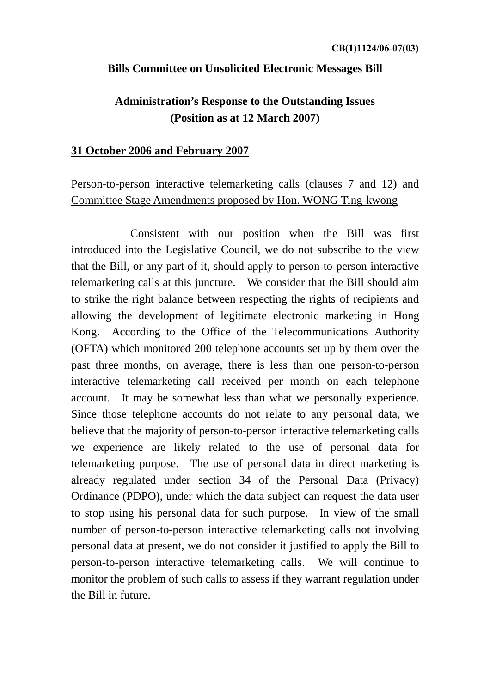#### **Bills Committee on Unsolicited Electronic Messages Bill**

## **Administration's Response to the Outstanding Issues (Position as at 12 March 2007)**

#### **31 October 2006 and February 2007**

## Person-to-person interactive telemarketing calls (clauses 7 and 12) and Committee Stage Amendments proposed by Hon. WONG Ting-kwong

 Consistent with our position when the Bill was first introduced into the Legislative Council, we do not subscribe to the view that the Bill, or any part of it, should apply to person-to-person interactive telemarketing calls at this juncture. We consider that the Bill should aim to strike the right balance between respecting the rights of recipients and allowing the development of legitimate electronic marketing in Hong Kong. According to the Office of the Telecommunications Authority (OFTA) which monitored 200 telephone accounts set up by them over the past three months, on average, there is less than one person-to-person interactive telemarketing call received per month on each telephone account. It may be somewhat less than what we personally experience. Since those telephone accounts do not relate to any personal data, we believe that the majority of person-to-person interactive telemarketing calls we experience are likely related to the use of personal data for telemarketing purpose. The use of personal data in direct marketing is already regulated under section 34 of the Personal Data (Privacy) Ordinance (PDPO), under which the data subject can request the data user to stop using his personal data for such purpose. In view of the small number of person-to-person interactive telemarketing calls not involving personal data at present, we do not consider it justified to apply the Bill to person-to-person interactive telemarketing calls. We will continue to monitor the problem of such calls to assess if they warrant regulation under the Bill in future.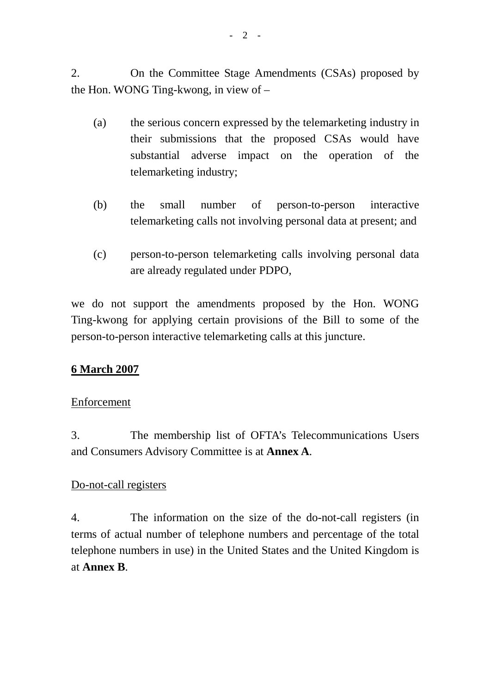2. On the Committee Stage Amendments (CSAs) proposed by the Hon. WONG Ting-kwong, in view of –

- (a) the serious concern expressed by the telemarketing industry in their submissions that the proposed CSAs would have substantial adverse impact on the operation of the telemarketing industry;
- (b) the small number of person-to-person interactive telemarketing calls not involving personal data at present; and
- (c) person-to-person telemarketing calls involving personal data are already regulated under PDPO,

we do not support the amendments proposed by the Hon. WONG Ting-kwong for applying certain provisions of the Bill to some of the person-to-person interactive telemarketing calls at this juncture.

## **6 March 2007**

### Enforcement

3. The membership list of OFTA's Telecommunications Users and Consumers Advisory Committee is at **Annex A**.

### Do-not-call registers

4. The information on the size of the do-not-call registers (in terms of actual number of telephone numbers and percentage of the total telephone numbers in use) in the United States and the United Kingdom is at **Annex B**.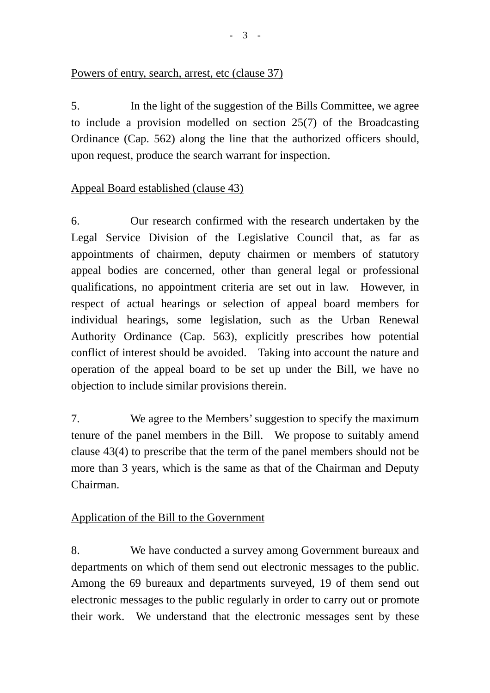### Powers of entry, search, arrest, etc (clause 37)

5. In the light of the suggestion of the Bills Committee, we agree to include a provision modelled on section 25(7) of the Broadcasting Ordinance (Cap. 562) along the line that the authorized officers should, upon request, produce the search warrant for inspection.

## Appeal Board established (clause 43)

6. Our research confirmed with the research undertaken by the Legal Service Division of the Legislative Council that, as far as appointments of chairmen, deputy chairmen or members of statutory appeal bodies are concerned, other than general legal or professional qualifications, no appointment criteria are set out in law. However, in respect of actual hearings or selection of appeal board members for individual hearings, some legislation, such as the Urban Renewal Authority Ordinance (Cap. 563), explicitly prescribes how potential conflict of interest should be avoided. Taking into account the nature and operation of the appeal board to be set up under the Bill, we have no objection to include similar provisions therein.

7. We agree to the Members' suggestion to specify the maximum tenure of the panel members in the Bill. We propose to suitably amend clause 43(4) to prescribe that the term of the panel members should not be more than 3 years, which is the same as that of the Chairman and Deputy Chairman.

## Application of the Bill to the Government

8. We have conducted a survey among Government bureaux and departments on which of them send out electronic messages to the public. Among the 69 bureaux and departments surveyed, 19 of them send out electronic messages to the public regularly in order to carry out or promote their work. We understand that the electronic messages sent by these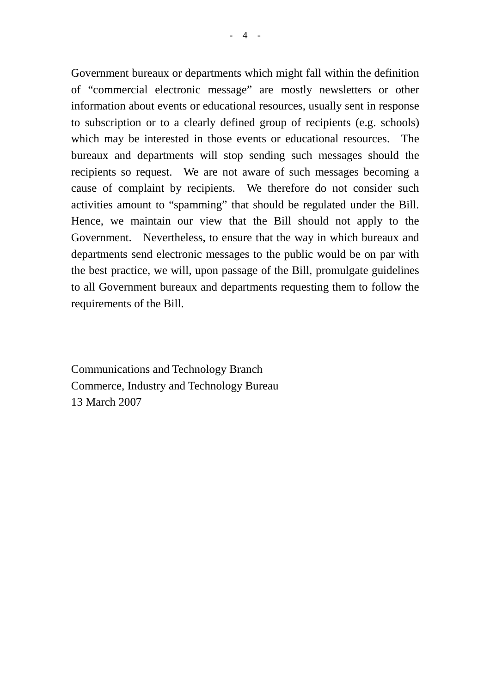Government bureaux or departments which might fall within the definition of "commercial electronic message" are mostly newsletters or other information about events or educational resources, usually sent in response to subscription or to a clearly defined group of recipients (e.g. schools) which may be interested in those events or educational resources. The bureaux and departments will stop sending such messages should the recipients so request. We are not aware of such messages becoming a cause of complaint by recipients. We therefore do not consider such activities amount to "spamming" that should be regulated under the Bill. Hence, we maintain our view that the Bill should not apply to the Government. Nevertheless, to ensure that the way in which bureaux and departments send electronic messages to the public would be on par with the best practice, we will, upon passage of the Bill, promulgate guidelines to all Government bureaux and departments requesting them to follow the requirements of the Bill.

Communications and Technology Branch Commerce, Industry and Technology Bureau 13 March 2007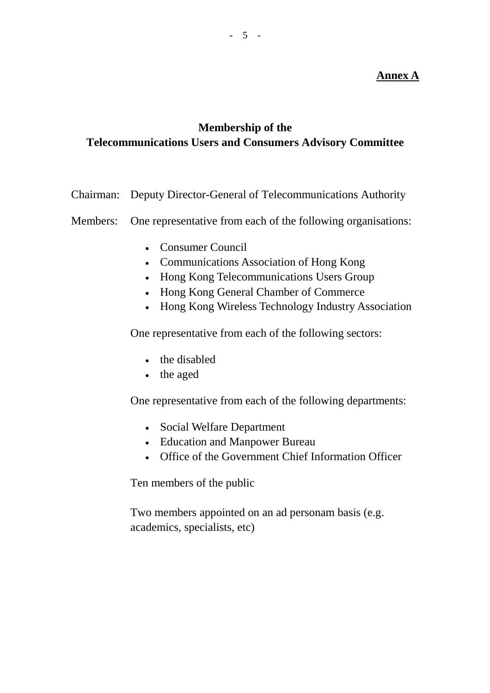## **Annex A**

## **Membership of the Telecommunications Users and Consumers Advisory Committee**

Chairman: Deputy Director-General of Telecommunications Authority

Members: One representative from each of the following organisations:

- Consumer Council
- Communications Association of Hong Kong
- Hong Kong Telecommunications Users Group
- Hong Kong General Chamber of Commerce
- Hong Kong Wireless Technology Industry Association

One representative from each of the following sectors:

- the disabled
- the aged

One representative from each of the following departments:

- Social Welfare Department
- Education and Manpower Bureau
- Office of the Government Chief Information Officer

Ten members of the public

Two members appointed on an ad personam basis (e.g. academics, specialists, etc)